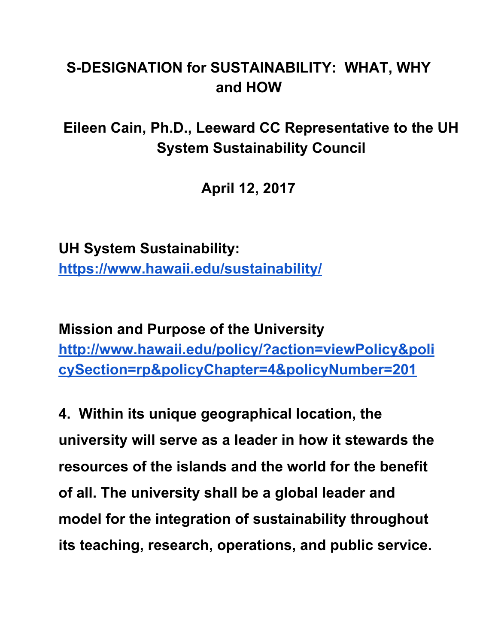## **S-DESIGNATION for SUSTAINABILITY: WHAT, WHY and HOW**

**Eileen Cain, Ph.D., Leeward CC Representative to the UH System Sustainability Council**

**April 12, 2017**

**UH System Sustainability: <https://www.hawaii.edu/sustainability/>**

**Mission and Purpose of the University [http://www.hawaii.edu/policy/?action=viewPolicy&poli](http://www.hawaii.edu/policy/?action=viewPolicy&policySection=rp&policyChapter=4&policyNumber=201) [cySection=rp&policyChapter=4&policyNumber=201](http://www.hawaii.edu/policy/?action=viewPolicy&policySection=rp&policyChapter=4&policyNumber=201)**

**4. Within its unique geographical location, the university will serve as a leader in how it stewards the resources of the islands and the world for the benefit of all. The university shall be a global leader and model for the integration of sustainability throughout its teaching, research, operations, and public service.**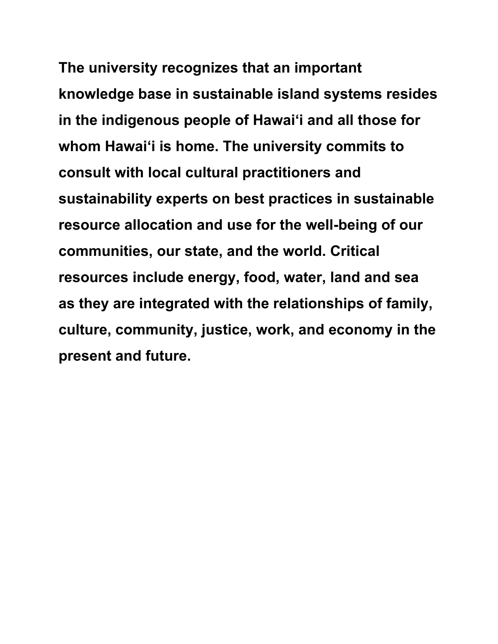**The university recognizes that an important knowledge base in sustainable island systems resides in the indigenous people of Hawai'i and all those for whom Hawai'i is home. The university commits to consult with local cultural practitioners and sustainability experts on best practices in sustainable resource allocation and use for the well-being of our communities, our state, and the world. Critical resources include energy, food, water, land and sea as they are integrated with the relationships of family, culture, community, justice, work, and economy in the present and future.**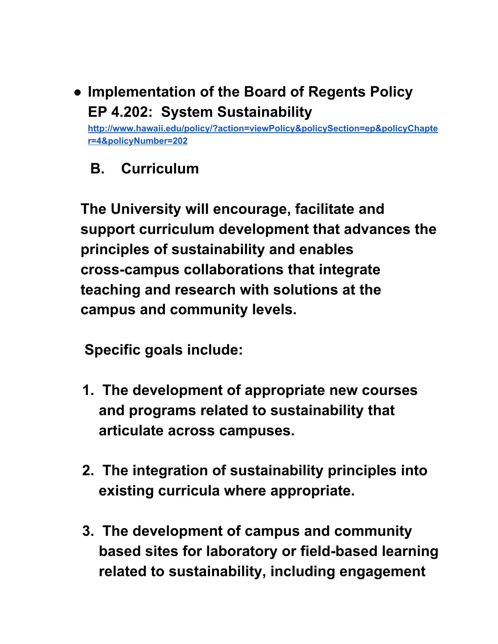**● Implementation of the Board of Regents Policy EP 4.202: System Sustainability**

**[http://www.hawaii.edu/policy/?action=viewPolicy&policySection=ep&policyChapte](http://www.hawaii.edu/policy/?action=viewPolicy&policySection=ep&policyChapter=4&policyNumber=202) [r=4&policyNumber=202](http://www.hawaii.edu/policy/?action=viewPolicy&policySection=ep&policyChapter=4&policyNumber=202)**

 **B. Curriculum**

**The University will encourage, facilitate and support curriculum development that advances the principles of sustainability and enables cross-campus collaborations that integrate teaching and research with solutions at the campus and community levels.**

 **Specific goals include:**

- **1. The development of appropriate new courses and programs related to sustainability that articulate across campuses.**
- **2. The integration of sustainability principles into existing curricula where appropriate.**
- **3. The development of campus and community based sites for laboratory or field-based learning related to sustainability, including engagement**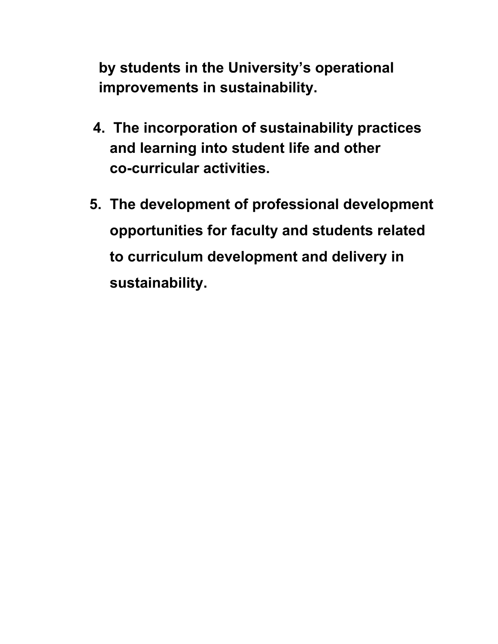**by students in the University's operational improvements in sustainability.**

- **4. The incorporation of sustainability practices and learning into student life and other co-curricular activities.**
- **5. The development of professional development opportunities for faculty and students related to curriculum development and delivery in sustainability.**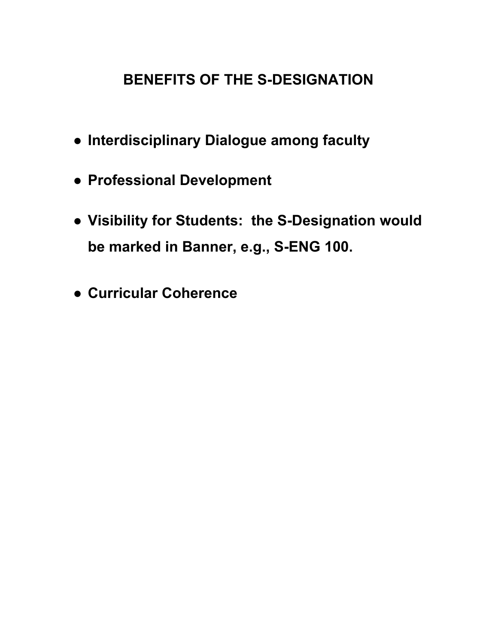## **BENEFITS OF THE S-DESIGNATION**

- **● Interdisciplinary Dialogue among faculty**
- **● Professional Development**
- **● Visibility for Students: the S-Designation would be marked in Banner, e.g., S-ENG 100.**
- **● Curricular Coherence**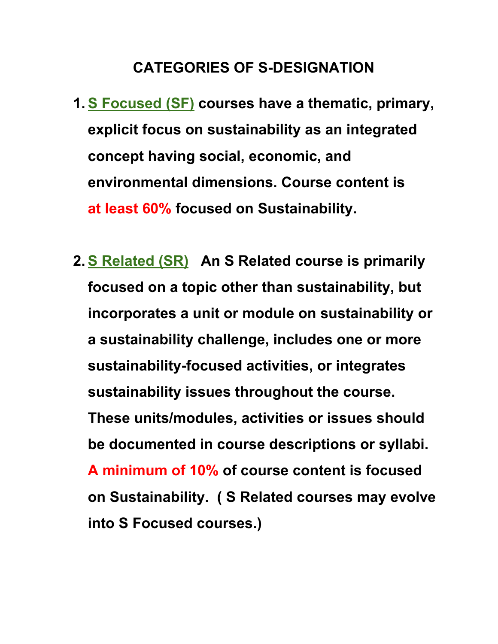## **CATEGORIES OF S-DESIGNATION**

- **1. S Focused (SF) courses have a thematic, primary, explicit focus on sustainability as an integrated concept having social, economic, and environmental dimensions. Course content is at least 60% focused on Sustainability.**
- **2. S Related (SR) An S Related course is primarily focused on a topic other than sustainability, but incorporates a unit or module on sustainability or a sustainability challenge, includes one or more sustainability-focused activities, or integrates sustainability issues throughout the course. These units/modules, activities or issues should be documented in course descriptions or syllabi. A minimum of 10% of course content is focused on Sustainability. ( S Related courses may evolve into S Focused courses.)**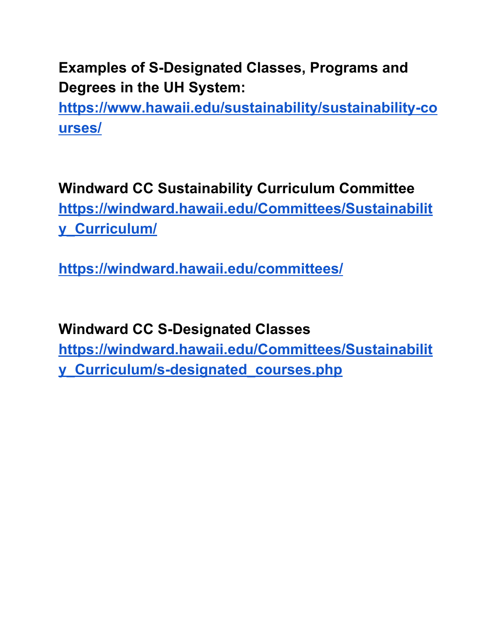**Examples of S-Designated Classes, Programs and Degrees in the UH System:**

**[https://www.hawaii.edu/sustainability/sustainability-co](https://www.hawaii.edu/sustainability/sustainability-courses/) [urses/](https://www.hawaii.edu/sustainability/sustainability-courses/)**

**Windward CC Sustainability Curriculum Committee [https://windward.hawaii.edu/Committees/Sustainabilit](https://windward.hawaii.edu/Committees/Sustainability_Curriculum/) [y\\_Curriculum/](https://windward.hawaii.edu/Committees/Sustainability_Curriculum/)**

**<https://windward.hawaii.edu/committees/>**

**Windward CC S-Designated Classes [https://windward.hawaii.edu/Committees/Sustainabilit](https://windward.hawaii.edu/Committees/Sustainability_Curriculum/s-designated_courses.php) [y\\_Curriculum/s-designated\\_courses.php](https://windward.hawaii.edu/Committees/Sustainability_Curriculum/s-designated_courses.php)**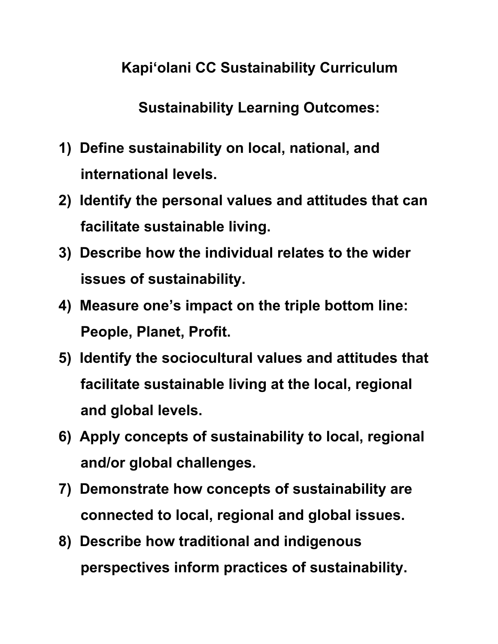**Kapi'olani CC Sustainability Curriculum**

**Sustainability Learning Outcomes:**

- **1) Define sustainability on local, national, and international levels.**
- **2) Identify the personal values and attitudes that can facilitate sustainable living.**
- **3) Describe how the individual relates to the wider issues of sustainability.**
- **4) Measure one's impact on the triple bottom line: People, Planet, Profit.**
- **5) Identify the sociocultural values and attitudes that facilitate sustainable living at the local, regional and global levels.**
- **6) Apply concepts of sustainability to local, regional and/or global challenges.**
- **7) Demonstrate how concepts of sustainability are connected to local, regional and global issues.**
- **8) Describe how traditional and indigenous perspectives inform practices of sustainability.**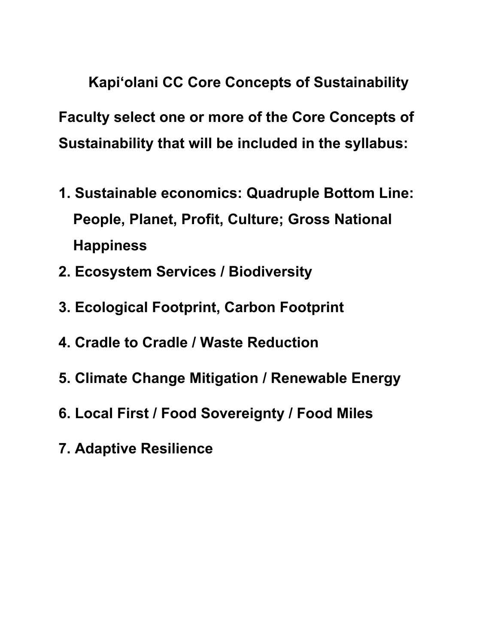**Kapi'olani CC Core Concepts of Sustainability Faculty select one or more of the Core Concepts of Sustainability that will be included in the syllabus:**

- **1. Sustainable economics: Quadruple Bottom Line: People, Planet, Profit, Culture; Gross National Happiness**
- **2. Ecosystem Services / Biodiversity**
- **3. Ecological Footprint, Carbon Footprint**
- **4. Cradle to Cradle / Waste Reduction**
- **5. Climate Change Mitigation / Renewable Energy**
- **6. Local First / Food Sovereignty / Food Miles**
- **7. Adaptive Resilience**